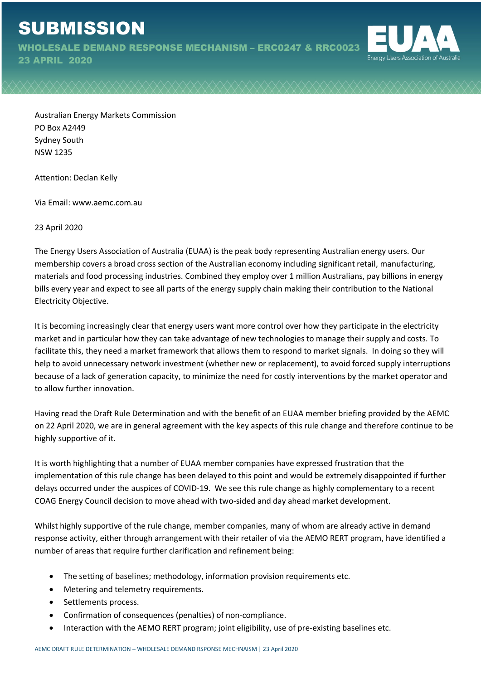WHOLESALE DEMAND RESPONSE MECHANISM – ERC0247 & RRC0023

23 APRIL 2020



Australian Energy Markets Commission PO Box A2449 Sydney South NSW 1235

Attention: Declan Kelly

Via Email: www.aemc.com.au

23 April 2020

The Energy Users Association of Australia (EUAA) is the peak body representing Australian energy users. Our membership covers a broad cross section of the Australian economy including significant retail, manufacturing, materials and food processing industries. Combined they employ over 1 million Australians, pay billions in energy bills every year and expect to see all parts of the energy supply chain making their contribution to the National Electricity Objective.

It is becoming increasingly clear that energy users want more control over how they participate in the electricity market and in particular how they can take advantage of new technologies to manage their supply and costs. To facilitate this, they need a market framework that allows them to respond to market signals. In doing so they will help to avoid unnecessary network investment (whether new or replacement), to avoid forced supply interruptions because of a lack of generation capacity, to minimize the need for costly interventions by the market operator and to allow further innovation.

Having read the Draft Rule Determination and with the benefit of an EUAA member briefing provided by the AEMC on 22 April 2020, we are in general agreement with the key aspects of this rule change and therefore continue to be highly supportive of it.

It is worth highlighting that a number of EUAA member companies have expressed frustration that the implementation of this rule change has been delayed to this point and would be extremely disappointed if further delays occurred under the auspices of COVID-19. We see this rule change as highly complementary to a recent COAG Energy Council decision to move ahead with two-sided and day ahead market development.

Whilst highly supportive of the rule change, member companies, many of whom are already active in demand response activity, either through arrangement with their retailer of via the AEMO RERT program, have identified a number of areas that require further clarification and refinement being:

- The setting of baselines; methodology, information provision requirements etc.
- Metering and telemetry requirements.
- Settlements process.
- Confirmation of consequences (penalties) of non-compliance.
- Interaction with the AEMO RERT program; joint eligibility, use of pre-existing baselines etc.